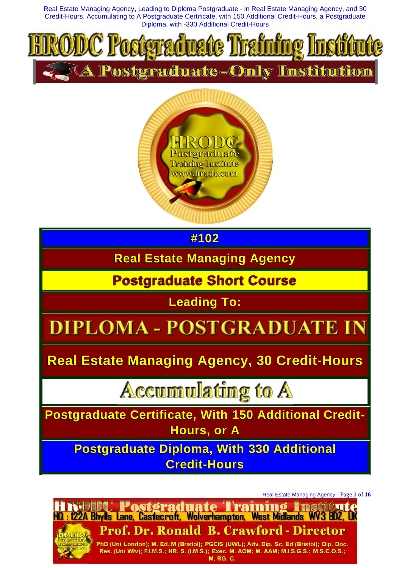



**#102**

**Real Estate Managing Agency**

**Postgraduate Short Course**

**Leading To:**

# - POSTGRA

**Real Estate Managing Agency, 30 Credit-Hours**

**Accumulating to A** 

**Postgraduate Certificate, With 150 Additional Credit-Hours, or A**

**Postgraduate Diploma, With 330 Additional Credit-Hours**

Real Estate Managing Agency - Page **1** of **16**

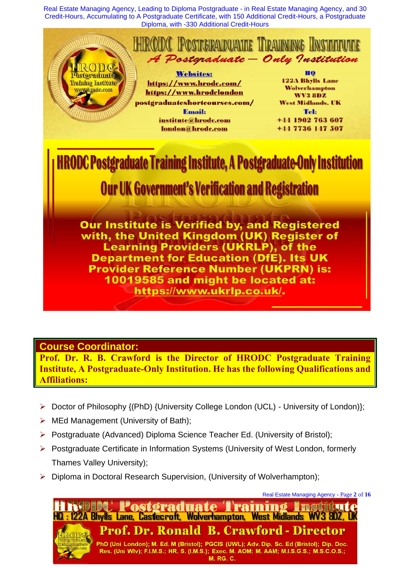

#### **Course Coordinator:**

**Prof. Dr. R. B. Crawford is the Director of HRODC Postgraduate Training Institute, A Postgraduate-Only Institution. He has the following Qualifications and Affiliations:**

- Doctor of Philosophy {(PhD) {University College London (UCL) University of London)};
- ➢ MEd Management (University of Bath);
- ➢ Postgraduate (Advanced) Diploma Science Teacher Ed. (University of Bristol);
- ➢ Postgraduate Certificate in Information Systems (University of West London, formerly Thames Valley University);
- ➢ Diploma in Doctoral Research Supervision, (University of Wolverhampton);

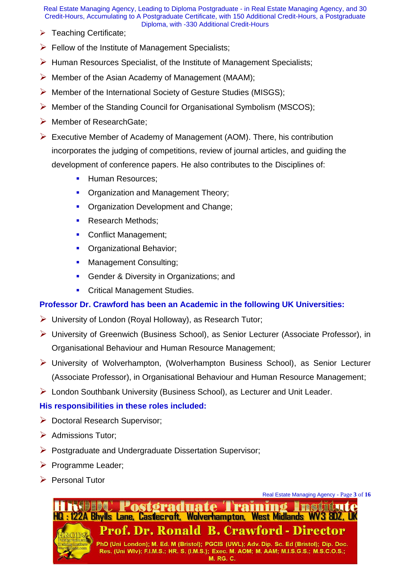- ➢ Teaching Certificate;
- $\triangleright$  Fellow of the Institute of Management Specialists;
- ➢ Human Resources Specialist, of the Institute of Management Specialists;
- $\triangleright$  Member of the Asian Academy of Management (MAAM);
- ➢ Member of the International Society of Gesture Studies (MISGS);
- ➢ Member of the Standing Council for Organisational Symbolism (MSCOS);
- ➢ Member of ResearchGate;
- ➢ Executive Member of Academy of Management (AOM). There, his contribution incorporates the judging of competitions, review of journal articles, and guiding the development of conference papers. He also contributes to the Disciplines of:
	- **E** Human Resources;
	- Organization and Management Theory;
	- **Organization Development and Change;**
	- **Research Methods;**
	- Conflict Management;
	- **Organizational Behavior;**
	- **■** Management Consulting;
	- **Gender & Diversity in Organizations; and**
	- **Critical Management Studies.**

#### **Professor Dr. Crawford has been an Academic in the following UK Universities:**

- $\triangleright$  University of London (Royal Holloway), as Research Tutor;
- ➢ University of Greenwich (Business School), as Senior Lecturer (Associate Professor), in Organisational Behaviour and Human Resource Management;
- ➢ University of Wolverhampton, (Wolverhampton Business School), as Senior Lecturer (Associate Professor), in Organisational Behaviour and Human Resource Management;
- ➢ London Southbank University (Business School), as Lecturer and Unit Leader.

#### **His responsibilities in these roles included:**

- ➢ Doctoral Research Supervisor;
- ➢ Admissions Tutor;
- ➢ Postgraduate and Undergraduate Dissertation Supervisor;
- ➢ Programme Leader;
- ➢ Personal Tutor



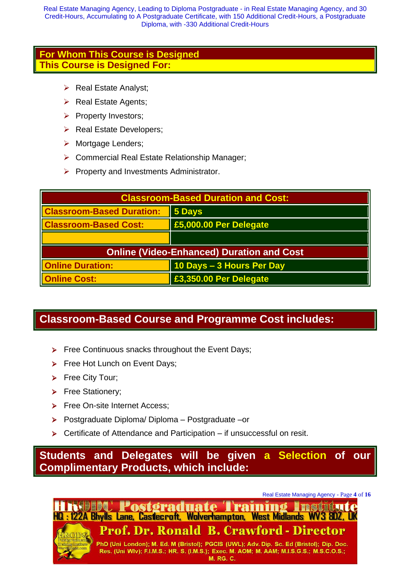#### **For Whom This Course is Designed This Course is Designed For:**

- ➢ Real Estate Analyst;
- ➢ Real Estate Agents;
- ➢ Property Investors;
- ➢ Real Estate Developers;
- ➢ Mortgage Lenders;
- ➢ Commercial Real Estate Relationship Manager;
- $\triangleright$  Property and Investments Administrator.

| <b>Classroom-Based Duration and Cost:</b>        |                           |  |
|--------------------------------------------------|---------------------------|--|
| <b>Classroom-Based Duration:</b>                 | 5 Days                    |  |
| <b>Classroom-Based Cost:</b>                     | £5,000.00 Per Delegate    |  |
|                                                  |                           |  |
| <b>Online (Video-Enhanced) Duration and Cost</b> |                           |  |
| <b>Online Duration:</b>                          | 10 Days - 3 Hours Per Day |  |
| <b>Online Cost:</b>                              | £3,350.00 Per Delegate    |  |

### **Classroom-Based Course and Programme Cost includes:**

- ➢ Free Continuous snacks throughout the Event Days;
- ➢ Free Hot Lunch on Event Days;
- ➢ Free City Tour;
- ➢ Free Stationery;
- ➢ Free On-site Internet Access;
- ➢ Postgraduate Diploma/ Diploma Postgraduate –or
- ➢ Certificate of Attendance and Participation if unsuccessful on resit.

**Students and Delegates will be given a Selection of our Complimentary Products, which include:**

Real Estate Managing Agency - Page **4** of **16**

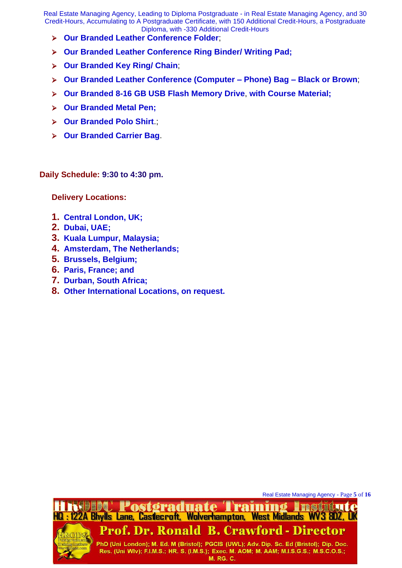- ➢ **Our Branded Leather Conference Folder**;
- ➢ **Our Branded Leather Conference Ring Binder/ Writing Pad;**
- ➢ **Our Branded Key Ring/ Chain**;
- ➢ **Our Branded Leather Conference (Computer – Phone) Bag – Black or Brown**;
- ➢ **Our Branded 8-16 GB USB Flash Memory Drive**, **with Course Material;**
- ➢ **Our Branded Metal Pen;**
- ➢ **Our Branded Polo Shirt**.;
- ➢ **Our Branded Carrier Bag**.

**Daily Schedule: 9:30 to 4:30 pm.**

**Delivery Locations:** 

- **1. Central London, UK;**
- **2. Dubai, UAE;**
- **3. Kuala Lumpur, Malaysia;**
- **4. Amsterdam, The Netherlands;**
- **5. Brussels, Belgium;**
- **6. Paris, France; and**
- **7. Durban, South Africa;**
- **8. Other International Locations, on request.**

Real Estate Managing Agency - Page **5** of **16**

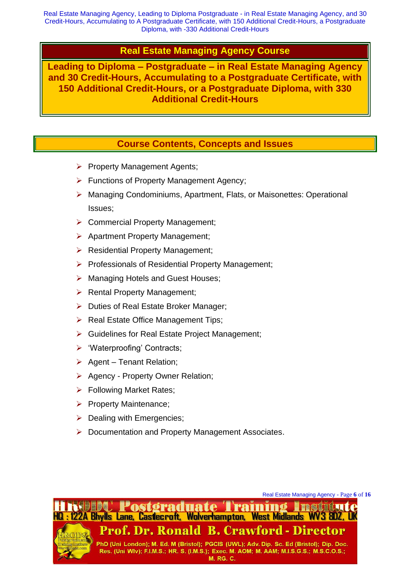#### **Real Estate Managing Agency Course**

**Leading to Diploma – Postgraduate – in Real Estate Managing Agency and 30 Credit-Hours, Accumulating to a Postgraduate Certificate, with 150 Additional Credit-Hours, or a Postgraduate Diploma, with 330 Additional Credit-Hours**

#### **Course Contents, Concepts and Issues**

- ➢ Property Management Agents;
- ➢ Functions of Property Management Agency;
- ➢ Managing Condominiums, Apartment, Flats, or Maisonettes: Operational Issues;
- ➢ Commercial Property Management;
- ➢ Apartment Property Management;
- ➢ Residential Property Management;
- ➢ Professionals of Residential Property Management;
- ➢ Managing Hotels and Guest Houses;
- ➢ Rental Property Management;
- ➢ Duties of Real Estate Broker Manager;
- ➢ Real Estate Office Management Tips;
- ➢ Guidelines for Real Estate Project Management;
- ➢ 'Waterproofing' Contracts;
- $\triangleright$  Agent Tenant Relation;
- ➢ Agency Property Owner Relation;
- ➢ Following Market Rates;
- ➢ Property Maintenance;
- $\triangleright$  Dealing with Emergencies;
- ➢ Documentation and Property Management Associates.

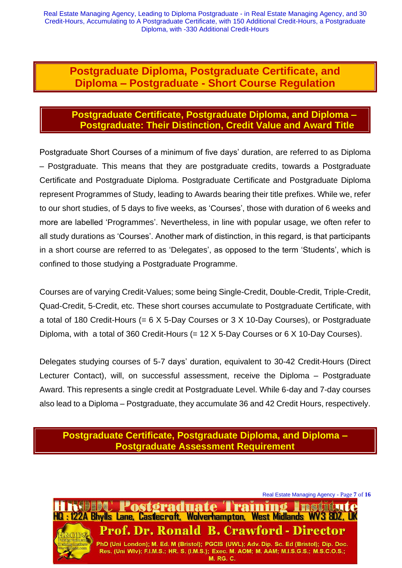#### **Postgraduate Diploma, Postgraduate Certificate, and Diploma – Postgraduate - Short Course Regulation**

#### **Postgraduate Certificate, Postgraduate Diploma, and Diploma – Postgraduate: Their Distinction, Credit Value and Award Title**

Postgraduate Short Courses of a minimum of five days' duration, are referred to as Diploma – Postgraduate. This means that they are postgraduate credits, towards a Postgraduate Certificate and Postgraduate Diploma. Postgraduate Certificate and Postgraduate Diploma represent Programmes of Study, leading to Awards bearing their title prefixes. While we, refer to our short studies, of 5 days to five weeks, as 'Courses', those with duration of 6 weeks and more are labelled 'Programmes'. Nevertheless, in line with popular usage, we often refer to all study durations as 'Courses'. Another mark of distinction, in this regard, is that participants in a short course are referred to as 'Delegates', as opposed to the term 'Students', which is confined to those studying a Postgraduate Programme.

Courses are of varying Credit-Values; some being Single-Credit, Double-Credit, Triple-Credit, Quad-Credit, 5-Credit, etc. These short courses accumulate to Postgraduate Certificate, with a total of 180 Credit-Hours (= 6 X 5-Day Courses or 3 X 10-Day Courses), or Postgraduate Diploma, with a total of 360 Credit-Hours (= 12 X 5-Day Courses or 6 X 10-Day Courses).

Delegates studying courses of 5-7 days' duration, equivalent to 30-42 Credit-Hours (Direct Lecturer Contact), will, on successful assessment, receive the Diploma – Postgraduate Award. This represents a single credit at Postgraduate Level. While 6-day and 7-day courses also lead to a Diploma – Postgraduate, they accumulate 36 and 42 Credit Hours, respectively.

#### **Postgraduate Certificate, Postgraduate Diploma, and Diploma – Postgraduate Assessment Requirement**

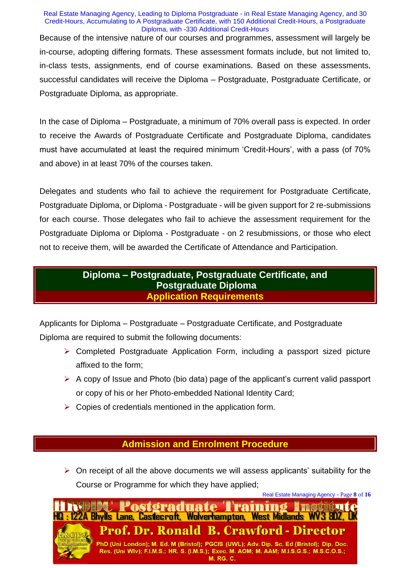#### Real Estate Managing Agency, Leading to Diploma Postgraduate - in Real Estate Managing Agency, and 30 Credit-Hours, Accumulating to A Postgraduate Certificate, with 150 Additional Credit-Hours, a Postgraduate Diploma, with -330 Additional Credit-Hours Because of the intensive nature of our courses and programmes, assessment will largely be in-course, adopting differing formats. These assessment formats include, but not limited to, in-class tests, assignments, end of course examinations. Based on these assessments, successful candidates will receive the Diploma – Postgraduate, Postgraduate Certificate, or Postgraduate Diploma, as appropriate.

In the case of Diploma – Postgraduate, a minimum of 70% overall pass is expected. In order to receive the Awards of Postgraduate Certificate and Postgraduate Diploma, candidates must have accumulated at least the required minimum 'Credit-Hours', with a pass (of 70% and above) in at least 70% of the courses taken.

Delegates and students who fail to achieve the requirement for Postgraduate Certificate, Postgraduate Diploma, or Diploma - Postgraduate - will be given support for 2 re-submissions for each course. Those delegates who fail to achieve the assessment requirement for the Postgraduate Diploma or Diploma - Postgraduate - on 2 resubmissions, or those who elect not to receive them, will be awarded the Certificate of Attendance and Participation.

#### **Diploma – Postgraduate, Postgraduate Certificate, and Postgraduate Diploma Application Requirements**

Applicants for Diploma – Postgraduate – Postgraduate Certificate, and Postgraduate Diploma are required to submit the following documents:

- ➢ Completed Postgraduate Application Form, including a passport sized picture affixed to the form;
- $\triangleright$  A copy of Issue and Photo (bio data) page of the applicant's current valid passport or copy of his or her Photo-embedded National Identity Card;
- $\triangleright$  Copies of credentials mentioned in the application form.

#### **Admission and Enrolment Procedure**

 $\triangleright$  On receipt of all the above documents we will assess applicants' suitability for the Course or Programme for which they have applied;



PhD (Uni London); M. Ed. M (Bristol); PGCIS (UWL); Adv. Dip. Sc. Ed (Bristol); Dip. Doc. Res. (Uni WIv); F.I.M.S.; HR. S. (I.M.S.); Exec. M. AOM; M. AAM; M.I.S.G.S.; M.S.C.O.S.; **M. RG. C.**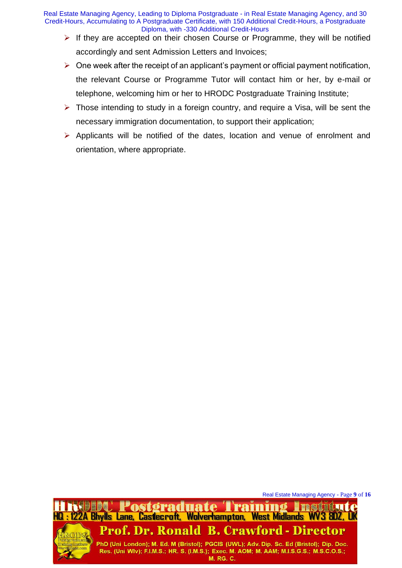- $\triangleright$  If they are accepted on their chosen Course or Programme, they will be notified accordingly and sent Admission Letters and Invoices;
- $\triangleright$  One week after the receipt of an applicant's payment or official payment notification, the relevant Course or Programme Tutor will contact him or her, by e-mail or telephone, welcoming him or her to HRODC Postgraduate Training Institute;
- $\triangleright$  Those intending to study in a foreign country, and require a Visa, will be sent the necessary immigration documentation, to support their application;
- ➢ Applicants will be notified of the dates, location and venue of enrolment and orientation, where appropriate.

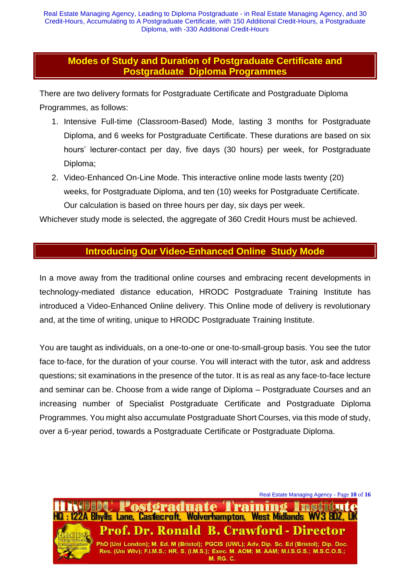#### **Modes of Study and Duration of Postgraduate Certificate and Postgraduate Diploma Programmes**

There are two delivery formats for Postgraduate Certificate and Postgraduate Diploma Programmes, as follows:

- 1. Intensive Full-time (Classroom-Based) Mode, lasting 3 months for Postgraduate Diploma, and 6 weeks for Postgraduate Certificate. These durations are based on six hours' lecturer-contact per day, five days (30 hours) per week, for Postgraduate Diploma;
- 2. Video-Enhanced On-Line Mode. This interactive online mode lasts twenty (20) weeks, for Postgraduate Diploma, and ten (10) weeks for Postgraduate Certificate. Our calculation is based on three hours per day, six days per week.

Whichever study mode is selected, the aggregate of 360 Credit Hours must be achieved.

#### **Introducing Our Video-Enhanced Online Study Mode**

In a move away from the traditional online courses and embracing recent developments in technology-mediated distance education, HRODC Postgraduate Training Institute has introduced a Video-Enhanced Online delivery. This Online mode of delivery is revolutionary and, at the time of writing, unique to HRODC Postgraduate Training Institute.

You are taught as individuals, on a one-to-one or one-to-small-group basis. You see the tutor face to-face, for the duration of your course. You will interact with the tutor, ask and address questions; sit examinations in the presence of the tutor. It is as real as any face-to-face lecture and seminar can be. Choose from a wide range of Diploma – Postgraduate Courses and an increasing number of Specialist Postgraduate Certificate and Postgraduate Diploma Programmes. You might also accumulate Postgraduate Short Courses, via this mode of study, over a 6-year period, towards a Postgraduate Certificate or Postgraduate Diploma.

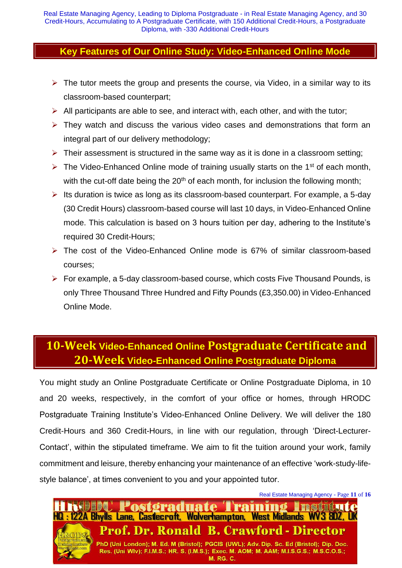#### **Key Features of Our Online Study: Video-Enhanced Online Mode**

- $\triangleright$  The tutor meets the group and presents the course, via Video, in a similar way to its classroom-based counterpart;
- $\triangleright$  All participants are able to see, and interact with, each other, and with the tutor;
- $\triangleright$  They watch and discuss the various video cases and demonstrations that form an integral part of our delivery methodology;
- $\triangleright$  Their assessment is structured in the same way as it is done in a classroom setting;
- $\triangleright$  The Video-Enhanced Online mode of training usually starts on the 1<sup>st</sup> of each month, with the cut-off date being the  $20<sup>th</sup>$  of each month, for inclusion the following month;
- $\triangleright$  Its duration is twice as long as its classroom-based counterpart. For example, a 5-day (30 Credit Hours) classroom-based course will last 10 days, in Video-Enhanced Online mode. This calculation is based on 3 hours tuition per day, adhering to the Institute's required 30 Credit-Hours;
- ➢ The cost of the Video-Enhanced Online mode is 67% of similar classroom-based courses;
- ➢ For example, a 5-day classroom-based course, which costs Five Thousand Pounds, is only Three Thousand Three Hundred and Fifty Pounds (£3,350.00) in Video-Enhanced Online Mode.

## **10-Week Video-Enhanced Online Postgraduate Certificate and 20-Week Video-Enhanced Online Postgraduate Diploma**

You might study an Online Postgraduate Certificate or Online Postgraduate Diploma, in 10 and 20 weeks, respectively, in the comfort of your office or homes, through HRODC Postgraduate Training Institute's Video-Enhanced Online Delivery. We will deliver the 180 Credit-Hours and 360 Credit-Hours, in line with our regulation, through 'Direct-Lecturer-Contact', within the stipulated timeframe. We aim to fit the tuition around your work, family commitment and leisure, thereby enhancing your maintenance of an effective 'work-study-lifestyle balance', at times convenient to you and your appointed tutor.



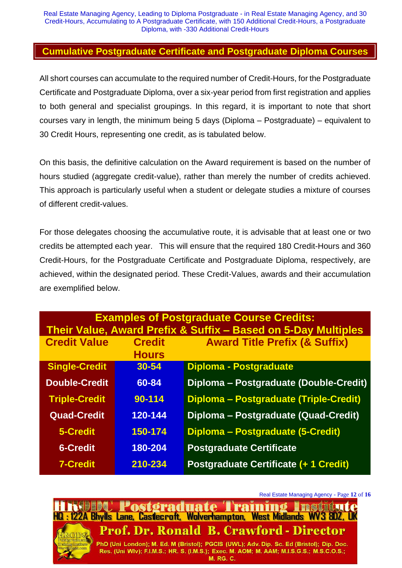#### **Cumulative Postgraduate Certificate and Postgraduate Diploma Courses**

All short courses can accumulate to the required number of Credit-Hours, for the Postgraduate Certificate and Postgraduate Diploma, over a six-year period from first registration and applies to both general and specialist groupings. In this regard, it is important to note that short courses vary in length, the minimum being 5 days (Diploma – Postgraduate) – equivalent to 30 Credit Hours, representing one credit, as is tabulated below.

On this basis, the definitive calculation on the Award requirement is based on the number of hours studied (aggregate credit-value), rather than merely the number of credits achieved. This approach is particularly useful when a student or delegate studies a mixture of courses of different credit-values.

For those delegates choosing the accumulative route, it is advisable that at least one or two credits be attempted each year. This will ensure that the required 180 Credit-Hours and 360 Credit-Hours, for the Postgraduate Certificate and Postgraduate Diploma, respectively, are achieved, within the designated period. These Credit-Values, awards and their accumulation are exemplified below.

| <b>Examples of Postgraduate Course Credits:</b><br>Their Value, Award Prefix & Suffix - Based on 5-Day Multiples |                               |                                          |  |
|------------------------------------------------------------------------------------------------------------------|-------------------------------|------------------------------------------|--|
| <b>Credit Value</b>                                                                                              | <b>Credit</b><br><b>Hours</b> | <b>Award Title Prefix (&amp; Suffix)</b> |  |
| <b>Single-Credit</b>                                                                                             | $30 - 54$                     | <b>Diploma - Postgraduate</b>            |  |
| <b>Double-Credit</b>                                                                                             | 60-84                         | Diploma - Postgraduate (Double-Credit)   |  |
| <b>Triple-Credit</b>                                                                                             | 90-114                        | Diploma - Postgraduate (Triple-Credit)   |  |
| <b>Quad-Credit</b>                                                                                               | 120-144                       | Diploma - Postgraduate (Quad-Credit)     |  |
| 5-Credit                                                                                                         | 150-174                       | Diploma - Postgraduate (5-Credit)        |  |
| <b>6-Credit</b>                                                                                                  | 180-204                       | <b>Postgraduate Certificate</b>          |  |
| <b>7-Credit</b>                                                                                                  | 210-234                       | Postgraduate Certificate (+ 1 Credit)    |  |

Real Estate Managing Agency - Page **12** of **16**

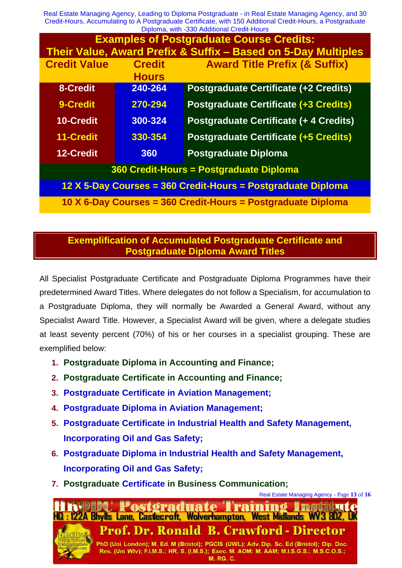| <b>Examples of Postgraduate Course Credits:</b>               |               |                                              |  |
|---------------------------------------------------------------|---------------|----------------------------------------------|--|
| Their Value, Award Prefix & Suffix - Based on 5-Day Multiples |               |                                              |  |
| <b>Credit Value</b>                                           | <b>Credit</b> | <b>Award Title Prefix (&amp; Suffix)</b>     |  |
|                                                               | <b>Hours</b>  |                                              |  |
| 8-Credit                                                      | 240-264       | <b>Postgraduate Certificate (+2 Credits)</b> |  |
| 9-Credit                                                      | 270-294       | <b>Postgraduate Certificate (+3 Credits)</b> |  |
| <b>10-Credit</b>                                              | 300-324       | Postgraduate Certificate (+ 4 Credits)       |  |
| 11-Credit                                                     | 330-354       | <b>Postgraduate Certificate (+5 Credits)</b> |  |
| 12-Credit                                                     | 360           | <b>Postgraduate Diploma</b>                  |  |
| 360 Credit-Hours = Postgraduate Diploma                       |               |                                              |  |
| 12 X 5-Day Courses = 360 Credit-Hours = Postgraduate Diploma  |               |                                              |  |
| 10 X 6-Day Courses = 360 Credit-Hours = Postgraduate Diploma  |               |                                              |  |

#### **Exemplification of Accumulated Postgraduate Certificate and Postgraduate Diploma Award Titles**

All Specialist Postgraduate Certificate and Postgraduate Diploma Programmes have their predetermined Award Titles. Where delegates do not follow a Specialism, for accumulation to a Postgraduate Diploma, they will normally be Awarded a General Award, without any Specialist Award Title. However, a Specialist Award will be given, where a delegate studies at least seventy percent (70%) of his or her courses in a specialist grouping. These are exemplified below:

- **1. Postgraduate Diploma in Accounting and Finance;**
- **2. Postgraduate Certificate in Accounting and Finance;**
- **3. Postgraduate Certificate in Aviation Management;**
- **4. Postgraduate Diploma in Aviation Management;**
- **5. Postgraduate Certificate in Industrial Health and Safety Management, Incorporating Oil and Gas Safety;**
- **6. Postgraduate Diploma in Industrial Health and Safety Management, Incorporating Oil and Gas Safety;**
- **7. Postgraduate Certificate in Business Communication;**

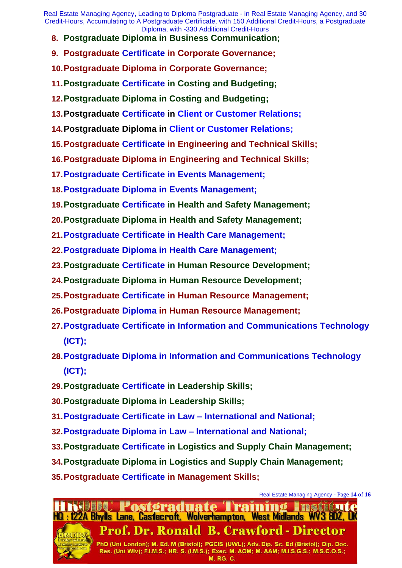- **8. Postgraduate Diploma in Business Communication;**
- **9. Postgraduate Certificate in Corporate Governance;**
- **10.Postgraduate Diploma in Corporate Governance;**
- **11.Postgraduate Certificate in Costing and Budgeting;**
- **12.Postgraduate Diploma in Costing and Budgeting;**
- **13.Postgraduate Certificate in Client or Customer Relations;**
- **14.Postgraduate Diploma in Client or Customer Relations;**
- **15.Postgraduate Certificate in Engineering and Technical Skills;**
- **16.Postgraduate Diploma in Engineering and Technical Skills;**
- **17.Postgraduate Certificate in Events Management;**
- **18.Postgraduate Diploma in Events Management;**
- **19.Postgraduate Certificate in Health and Safety Management;**
- **20.Postgraduate Diploma in Health and Safety Management;**
- **21.Postgraduate Certificate in Health Care Management;**
- **22.Postgraduate Diploma in Health Care Management;**
- **23.Postgraduate Certificate in Human Resource Development;**
- **24.Postgraduate Diploma in Human Resource Development;**
- **25.Postgraduate Certificate in Human Resource Management;**
- **26.Postgraduate Diploma in Human Resource Management;**
- **27.Postgraduate Certificate in Information and Communications Technology (ICT);**
- **28.Postgraduate Diploma in Information and Communications Technology (ICT);**
- **29.Postgraduate Certificate in Leadership Skills;**
- **30.Postgraduate Diploma in Leadership Skills;**
- **31.Postgraduate Certificate in Law – International and National;**
- **32.Postgraduate Diploma in Law – International and National;**
- **33.Postgraduate Certificate in Logistics and Supply Chain Management;**
- **34.Postgraduate Diploma in Logistics and Supply Chain Management;**
- **35.Postgraduate Certificate in Management Skills;**



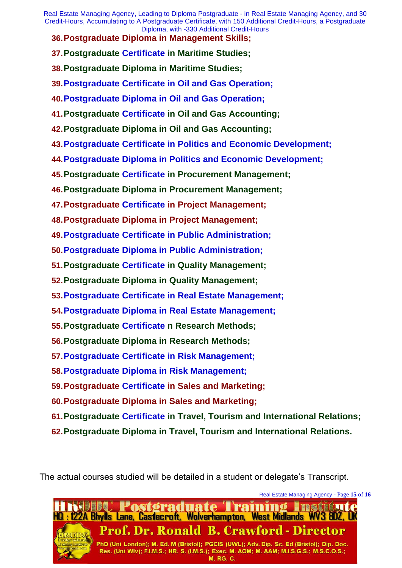**36.Postgraduate Diploma in Management Skills;** 

**37.Postgraduate Certificate in Maritime Studies;** 

**38.Postgraduate Diploma in Maritime Studies;** 

**39.Postgraduate Certificate in Oil and Gas Operation;** 

**40.Postgraduate Diploma in Oil and Gas Operation;** 

**41.Postgraduate Certificate in Oil and Gas Accounting;** 

**42.Postgraduate Diploma in Oil and Gas Accounting;** 

**43.Postgraduate Certificate in Politics and Economic Development;** 

**44.Postgraduate Diploma in Politics and Economic Development;** 

**45.Postgraduate Certificate in Procurement Management;** 

**46.Postgraduate Diploma in Procurement Management;** 

**47.Postgraduate Certificate in Project Management;** 

**48.Postgraduate Diploma in Project Management;** 

**49.Postgraduate Certificate in Public Administration;** 

**50.Postgraduate Diploma in Public Administration;** 

**51.Postgraduate Certificate in Quality Management;** 

**52.Postgraduate Diploma in Quality Management;** 

**53.Postgraduate Certificate in Real Estate Management;** 

**54.Postgraduate Diploma in Real Estate Management;** 

**55.Postgraduate Certificate n Research Methods;** 

**56.Postgraduate Diploma in Research Methods;** 

**57.Postgraduate Certificate in Risk Management;** 

**58.Postgraduate Diploma in Risk Management;** 

**59.Postgraduate Certificate in Sales and Marketing;** 

- **60.Postgraduate Diploma in Sales and Marketing;**
- **61.Postgraduate Certificate in Travel, Tourism and International Relations;**
- **62.Postgraduate Diploma in Travel, Tourism and International Relations.**

The actual courses studied will be detailed in a student or delegate's Transcript.